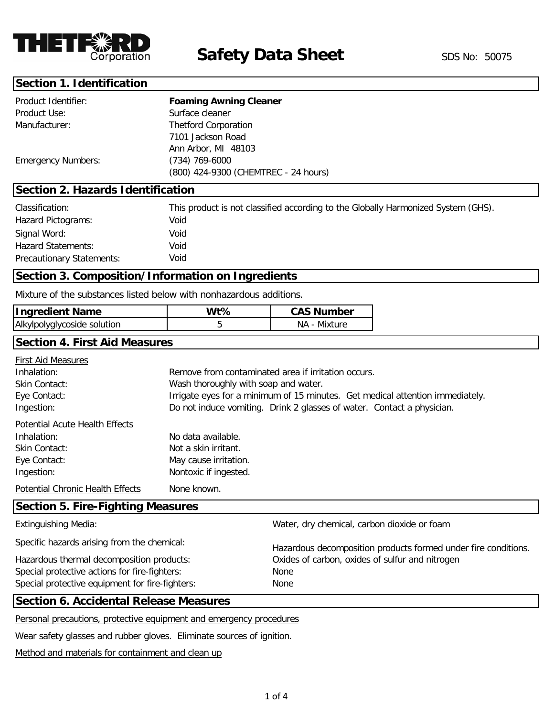

#### **Section 1. Identification**

| Product Identifier:       | <b>Foaming Awning Cleaner</b>        |  |
|---------------------------|--------------------------------------|--|
| Product Use:              | Surface cleaner                      |  |
| Manufacturer:             | <b>Thetford Corporation</b>          |  |
|                           | 7101 Jackson Road                    |  |
|                           | Ann Arbor, MI 48103                  |  |
| <b>Emergency Numbers:</b> | $(734)$ 769-6000                     |  |
|                           | (800) 424-9300 (CHEMTREC - 24 hours) |  |

## **Section 2. Hazards Identification**

| Classification:                  | This product is not classified according to the Globally Harmonized System (GHS). |
|----------------------------------|-----------------------------------------------------------------------------------|
| Hazard Pictograms:               | Void                                                                              |
| Signal Word:                     | Void                                                                              |
| <b>Hazard Statements:</b>        | Void                                                                              |
| <b>Precautionary Statements:</b> | Void                                                                              |

## **Section 3. Composition/Information on Ingredients**

Mixture of the substances listed below with nonhazardous additions.

| <b>Ingredient Name</b>      | Wt% | <b>CAS Number</b> |
|-----------------------------|-----|-------------------|
| Alkylpolyglycoside solution |     | NA - Mixture      |

# **Section 4. First Aid Measures**

| First Aid Measures                      |                                                                               |
|-----------------------------------------|-------------------------------------------------------------------------------|
| Inhalation:                             | Remove from contaminated area if irritation occurs.                           |
| Skin Contact:                           | Wash thoroughly with soap and water.                                          |
| Eye Contact:                            | Irrigate eyes for a minimum of 15 minutes. Get medical attention immediately. |
| Ingestion:                              | Do not induce vomiting. Drink 2 glasses of water. Contact a physician.        |
| Potential Acute Health Effects          |                                                                               |
| Inhalation:                             | No data available.                                                            |
| Skin Contact:                           | Not a skin irritant.                                                          |
| Eye Contact:                            | May cause irritation.                                                         |
| Ingestion:                              | Nontoxic if ingested.                                                         |
| Potential Chronic Health Effects        | None known.                                                                   |
| Coofficial F. Fine, Fighting Magaziness |                                                                               |

## **Section 5. Fire-Fighting Measures**

| Water, dry chemical, carbon dioxide or foam                    |
|----------------------------------------------------------------|
| Hazardous decomposition products formed under fire conditions. |
| Oxides of carbon, oxides of sulfur and nitrogen                |
|                                                                |
|                                                                |
|                                                                |

#### **Section 6. Accidental Release Measures**

Personal precautions, protective equipment and emergency procedures

Wear safety glasses and rubber gloves. Eliminate sources of ignition.

Method and materials for containment and clean up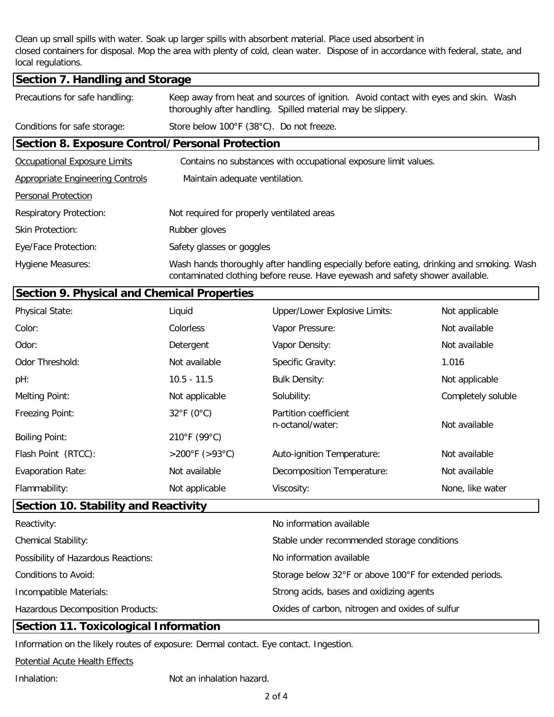Clean up small spills with water. Soak up larger spills with absorbent material. Place used absorbent in closed containers for disposal. Mop the area with plenty of cold, clean water. Dispose of in accordance with federal, state, and local regulations.

| Section 7. Handling and Storage                        |                                                                                                                                                                            |  |  |
|--------------------------------------------------------|----------------------------------------------------------------------------------------------------------------------------------------------------------------------------|--|--|
| Precautions for safe handling:                         | Keep away from heat and sources of ignition. Avoid contact with eyes and skin. Wash<br>thoroughly after handling. Spilled material may be slippery.                        |  |  |
| Conditions for safe storage:                           | Store below 100°F (38°C). Do not freeze.                                                                                                                                   |  |  |
| <b>Section 8. Exposure Control/Personal Protection</b> |                                                                                                                                                                            |  |  |
| <b>Occupational Exposure Limits</b>                    | Contains no substances with occupational exposure limit values.                                                                                                            |  |  |
| <b>Appropriate Engineering Controls</b>                | Maintain adequate ventilation.                                                                                                                                             |  |  |
| <b>Personal Protection</b>                             |                                                                                                                                                                            |  |  |
| <b>Respiratory Protection:</b>                         | Not required for properly ventilated areas                                                                                                                                 |  |  |
| <b>Skin Protection:</b>                                | Rubber gloves                                                                                                                                                              |  |  |
| Eye/Face Protection:                                   | Safety glasses or goggles                                                                                                                                                  |  |  |
| <b>Hygiene Measures:</b>                               | Wash hands thoroughly after handling especially before eating, drinking and smoking. Wash<br>contaminated clothing before reuse. Have eyewash and safety shower available. |  |  |

|                                      | <b>Section 9. Physical and Chemical Properties</b> |                                                            |                    |
|--------------------------------------|----------------------------------------------------|------------------------------------------------------------|--------------------|
| <b>Physical State:</b>               | Liquid                                             | Upper/Lower Explosive Limits:                              | Not applicable     |
| Color:                               | Colorless                                          | Vapor Pressure:                                            | Not available      |
| Odor:                                | Detergent                                          | Vapor Density:                                             | Not available      |
| Odor Threshold:                      | Not available                                      | Specific Gravity:                                          | 1.016              |
| pH:                                  | $10.5 - 11.5$                                      | <b>Bulk Density:</b>                                       | Not applicable     |
| Melting Point:                       | Not applicable                                     | Solubility:                                                | Completely soluble |
| <b>Freezing Point:</b>               | $32^{\circ}$ F (0°C)                               | Partition coefficient<br>n-octanol/water:<br>Not available |                    |
| <b>Boiling Point:</b>                | 210°F (99°C)                                       |                                                            |                    |
| Flash Point (RTCC):                  | >200°F (>93°C)                                     | Auto-ignition Temperature:                                 | Not available      |
| <b>Evaporation Rate:</b>             | Not available                                      | Decomposition Temperature:                                 | Not available      |
| Flammability:                        | Not applicable                                     | Viscosity:                                                 | None, like water   |
| Section 10. Stability and Reactivity |                                                    |                                                            |                    |

| Reactivity:                              | No information available                                |
|------------------------------------------|---------------------------------------------------------|
| <b>Chemical Stability:</b>               | Stable under recommended storage conditions             |
| Possibility of Hazardous Reactions:      | No information available                                |
| Conditions to Avoid:                     | Storage below 32°F or above 100°F for extended periods. |
| Incompatible Materials:                  | Strong acids, bases and oxidizing agents                |
| <b>Hazardous Decomposition Products:</b> | Oxides of carbon, nitrogen and oxides of sulfur         |

# **Section 11. Toxicological Information**

Information on the likely routes of exposure: Dermal contact. Eye contact. Ingestion.

Potential Acute Health Effects

Inhalation: Not an inhalation hazard.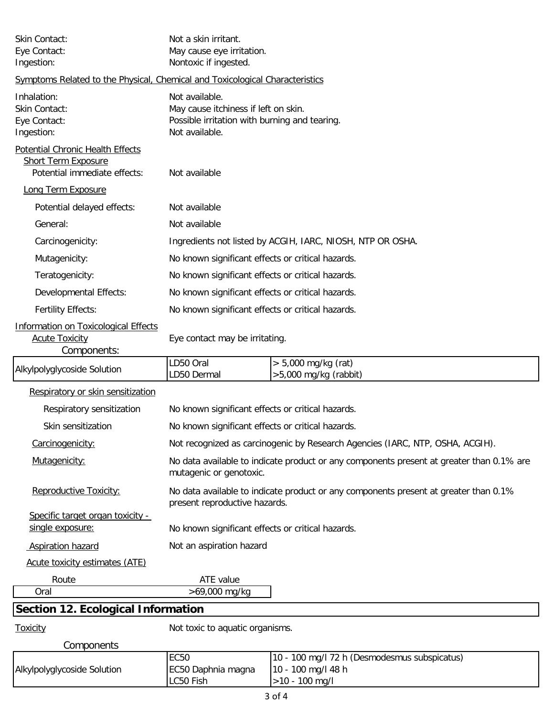| Skin Contact:<br>Eye Contact:<br>Ingestion:                                  | Not a skin irritant.<br>May cause eye irritation.<br>Nontoxic if ingested.                                                |                                                                    |  |
|------------------------------------------------------------------------------|---------------------------------------------------------------------------------------------------------------------------|--------------------------------------------------------------------|--|
| Symptoms Related to the Physical, Chemical and Toxicological Characteristics |                                                                                                                           |                                                                    |  |
| Inhalation:<br>Skin Contact:<br>Eye Contact:<br>Ingestion:                   | Not available.<br>May cause itchiness if left on skin.<br>Possible irritation with burning and tearing.<br>Not available. |                                                                    |  |
| Potential Chronic Health Effects                                             |                                                                                                                           |                                                                    |  |
| <b>Short Term Exposure</b><br>Potential immediate effects:                   | Not available                                                                                                             |                                                                    |  |
| Long Term Exposure                                                           |                                                                                                                           |                                                                    |  |
| Potential delayed effects:                                                   | Not available                                                                                                             |                                                                    |  |
| General:                                                                     | Not available                                                                                                             |                                                                    |  |
| Carcinogenicity:                                                             |                                                                                                                           | Ingredients not listed by ACGIH, IARC, NIOSH, NTP OR OSHA.         |  |
| Mutagenicity:                                                                | No known significant effects or critical hazards.                                                                         |                                                                    |  |
| Teratogenicity:                                                              | No known significant effects or critical hazards.                                                                         |                                                                    |  |
| Developmental Effects:                                                       | No known significant effects or critical hazards.                                                                         |                                                                    |  |
| <b>Fertility Effects:</b>                                                    | No known significant effects or critical hazards.                                                                         |                                                                    |  |
| Information on Toxicological Effects<br><b>Acute Toxicity</b><br>Components: | Eye contact may be irritating.                                                                                            |                                                                    |  |
| Alkylpolyglycoside Solution                                                  | LD50 Oral<br>$> 5,000$ mg/kg (rat)<br>LD50 Dermal<br>$>5,000$ mg/kg (rabbit)                                              |                                                                    |  |
| Respiratory or skin sensitization                                            |                                                                                                                           |                                                                    |  |
| Respiratory sensitization                                                    | No known significant effects or critical hazards.                                                                         |                                                                    |  |
| Skin sensitization                                                           | No known significant effects or critical hazards.                                                                         |                                                                    |  |
| Carcinogenicity:                                                             | Not recognized as carcinogenic by Research Agencies (IARC, NTP, OSHA, ACGIH).                                             |                                                                    |  |
| Mutagenicity:                                                                | No data available to indicate product or any components present at greater than 0.1% are<br>mutagenic or genotoxic.       |                                                                    |  |
| Reproductive Toxicity:                                                       | No data available to indicate product or any components present at greater than 0.1%<br>present reproductive hazards.     |                                                                    |  |
| Specific target organ toxicity -<br>single exposure:                         | No known significant effects or critical hazards.                                                                         |                                                                    |  |
| <b>Aspiration hazard</b>                                                     | Not an aspiration hazard                                                                                                  |                                                                    |  |
| Acute toxicity estimates (ATE)                                               |                                                                                                                           |                                                                    |  |
| Route                                                                        | ATE value                                                                                                                 |                                                                    |  |
| Oral                                                                         | >69,000 mg/kg                                                                                                             |                                                                    |  |
| <b>Section 12. Ecological Information</b>                                    |                                                                                                                           |                                                                    |  |
| Toxicity                                                                     | Not toxic to aquatic organisms.                                                                                           |                                                                    |  |
| Components                                                                   | <b>EC50</b>                                                                                                               |                                                                    |  |
| Alkylpolyglycoside Solution                                                  | EC50 Daphnia magna                                                                                                        | 10 - 100 mg/l 72 h (Desmodesmus subspicatus)<br>10 - 100 mg/l 48 h |  |

>10 - 100 mg/l

LC50 Fish